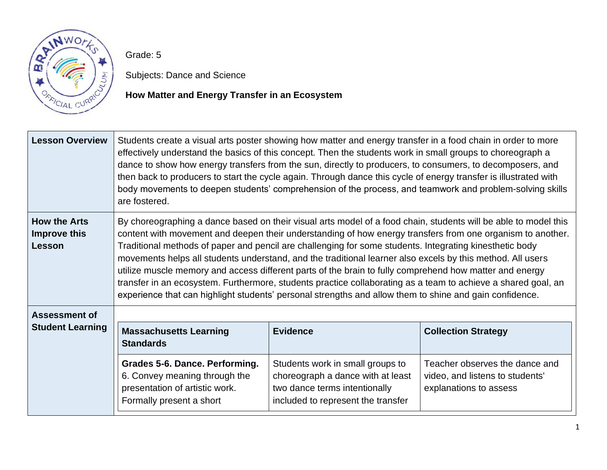

Grade: 5

Subjects: Dance and Science

# **How Matter and Energy Transfer in an Ecosystem**

| <b>Lesson Overview</b>                               | Students create a visual arts poster showing how matter and energy transfer in a food chain in order to more<br>effectively understand the basics of this concept. Then the students work in small groups to choreograph a<br>dance to show how energy transfers from the sun, directly to producers, to consumers, to decomposers, and<br>then back to producers to start the cycle again. Through dance this cycle of energy transfer is illustrated with<br>body movements to deepen students' comprehension of the process, and teamwork and problem-solving skills<br>are fostered.                                                                                                                                                                                                      |                                                                                                                                              |                                                                                             |
|------------------------------------------------------|-----------------------------------------------------------------------------------------------------------------------------------------------------------------------------------------------------------------------------------------------------------------------------------------------------------------------------------------------------------------------------------------------------------------------------------------------------------------------------------------------------------------------------------------------------------------------------------------------------------------------------------------------------------------------------------------------------------------------------------------------------------------------------------------------|----------------------------------------------------------------------------------------------------------------------------------------------|---------------------------------------------------------------------------------------------|
| <b>How the Arts</b><br>Improve this<br><b>Lesson</b> | By choreographing a dance based on their visual arts model of a food chain, students will be able to model this<br>content with movement and deepen their understanding of how energy transfers from one organism to another.<br>Traditional methods of paper and pencil are challenging for some students. Integrating kinesthetic body<br>movements helps all students understand, and the traditional learner also excels by this method. All users<br>utilize muscle memory and access different parts of the brain to fully comprehend how matter and energy<br>transfer in an ecosystem. Furthermore, students practice collaborating as a team to achieve a shared goal, an<br>experience that can highlight students' personal strengths and allow them to shine and gain confidence. |                                                                                                                                              |                                                                                             |
| <b>Assessment of</b>                                 |                                                                                                                                                                                                                                                                                                                                                                                                                                                                                                                                                                                                                                                                                                                                                                                               |                                                                                                                                              |                                                                                             |
| <b>Student Learning</b>                              | <b>Massachusetts Learning</b><br><b>Standards</b>                                                                                                                                                                                                                                                                                                                                                                                                                                                                                                                                                                                                                                                                                                                                             | <b>Evidence</b>                                                                                                                              | <b>Collection Strategy</b>                                                                  |
|                                                      | Grades 5-6. Dance. Performing.<br>6. Convey meaning through the<br>presentation of artistic work.<br>Formally present a short                                                                                                                                                                                                                                                                                                                                                                                                                                                                                                                                                                                                                                                                 | Students work in small groups to<br>choreograph a dance with at least<br>two dance terms intentionally<br>included to represent the transfer | Teacher observes the dance and<br>video, and listens to students'<br>explanations to assess |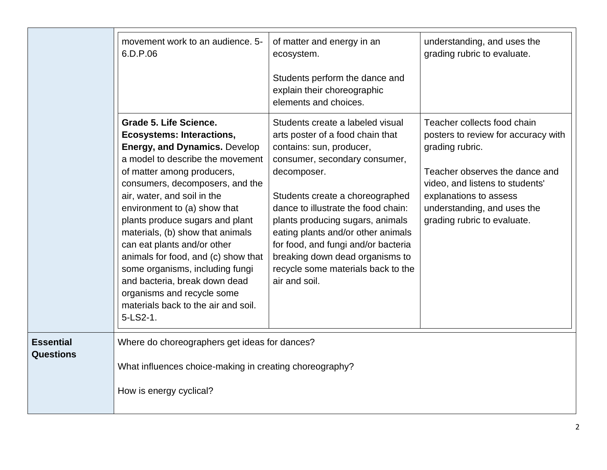|                                      | movement work to an audience, 5-<br>6.D.P.06                                                                                                                                                                                                                                                                                                                                                                                                                                                                                                                             | of matter and energy in an<br>ecosystem.<br>Students perform the dance and<br>explain their choreographic<br>elements and choices.                                                                                                                                                                                                                                                                                                    | understanding, and uses the<br>grading rubric to evaluate.                                                                                                                                                                                         |
|--------------------------------------|--------------------------------------------------------------------------------------------------------------------------------------------------------------------------------------------------------------------------------------------------------------------------------------------------------------------------------------------------------------------------------------------------------------------------------------------------------------------------------------------------------------------------------------------------------------------------|---------------------------------------------------------------------------------------------------------------------------------------------------------------------------------------------------------------------------------------------------------------------------------------------------------------------------------------------------------------------------------------------------------------------------------------|----------------------------------------------------------------------------------------------------------------------------------------------------------------------------------------------------------------------------------------------------|
|                                      | Grade 5. Life Science.<br><b>Ecosystems: Interactions,</b><br><b>Energy, and Dynamics. Develop</b><br>a model to describe the movement<br>of matter among producers,<br>consumers, decomposers, and the<br>air, water, and soil in the<br>environment to (a) show that<br>plants produce sugars and plant<br>materials, (b) show that animals<br>can eat plants and/or other<br>animals for food, and (c) show that<br>some organisms, including fungi<br>and bacteria, break down dead<br>organisms and recycle some<br>materials back to the air and soil.<br>5-LS2-1. | Students create a labeled visual<br>arts poster of a food chain that<br>contains: sun, producer,<br>consumer, secondary consumer,<br>decomposer.<br>Students create a choreographed<br>dance to illustrate the food chain:<br>plants producing sugars, animals<br>eating plants and/or other animals<br>for food, and fungi and/or bacteria<br>breaking down dead organisms to<br>recycle some materials back to the<br>air and soil. | Teacher collects food chain<br>posters to review for accuracy with<br>grading rubric.<br>Teacher observes the dance and<br>video, and listens to students'<br>explanations to assess<br>understanding, and uses the<br>grading rubric to evaluate. |
| <b>Essential</b><br><b>Questions</b> | Where do choreographers get ideas for dances?<br>What influences choice-making in creating choreography?<br>How is energy cyclical?                                                                                                                                                                                                                                                                                                                                                                                                                                      |                                                                                                                                                                                                                                                                                                                                                                                                                                       |                                                                                                                                                                                                                                                    |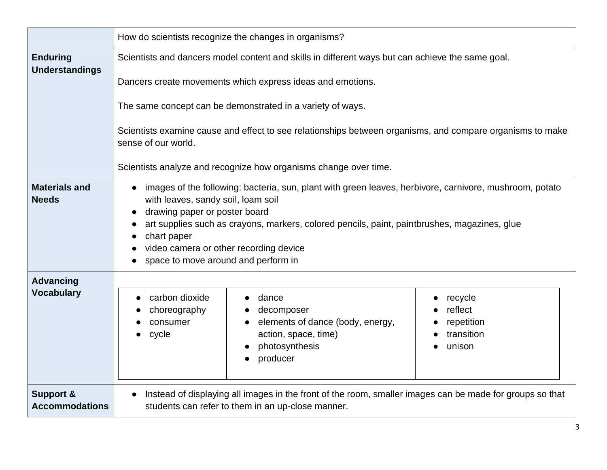|                                               | How do scientists recognize the changes in organisms?                                                                                                                                                                                                                                                                                                                          |  |  |
|-----------------------------------------------|--------------------------------------------------------------------------------------------------------------------------------------------------------------------------------------------------------------------------------------------------------------------------------------------------------------------------------------------------------------------------------|--|--|
| <b>Enduring</b><br><b>Understandings</b>      | Scientists and dancers model content and skills in different ways but can achieve the same goal.                                                                                                                                                                                                                                                                               |  |  |
|                                               | Dancers create movements which express ideas and emotions.                                                                                                                                                                                                                                                                                                                     |  |  |
|                                               | The same concept can be demonstrated in a variety of ways.                                                                                                                                                                                                                                                                                                                     |  |  |
|                                               | Scientists examine cause and effect to see relationships between organisms, and compare organisms to make<br>sense of our world.                                                                                                                                                                                                                                               |  |  |
|                                               | Scientists analyze and recognize how organisms change over time.                                                                                                                                                                                                                                                                                                               |  |  |
| <b>Materials and</b><br><b>Needs</b>          | images of the following: bacteria, sun, plant with green leaves, herbivore, carnivore, mushroom, potato<br>with leaves, sandy soil, loam soil<br>drawing paper or poster board<br>art supplies such as crayons, markers, colored pencils, paint, paintbrushes, magazines, glue<br>chart paper<br>video camera or other recording device<br>space to move around and perform in |  |  |
| <b>Advancing</b><br><b>Vocabulary</b>         | carbon dioxide<br>dance<br>recycle<br>reflect<br>choreography<br>decomposer<br>elements of dance (body, energy,<br>repetition<br>consumer<br>action, space, time)<br>transition<br>cycle<br>photosynthesis<br>unison<br>producer                                                                                                                                               |  |  |
| <b>Support &amp;</b><br><b>Accommodations</b> | Instead of displaying all images in the front of the room, smaller images can be made for groups so that<br>$\bullet$<br>students can refer to them in an up-close manner.                                                                                                                                                                                                     |  |  |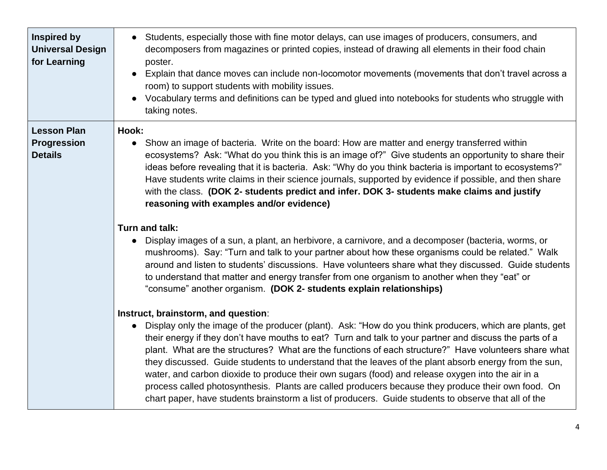| Inspired by<br><b>Universal Design</b><br>for Learning     | • Students, especially those with fine motor delays, can use images of producers, consumers, and<br>decomposers from magazines or printed copies, instead of drawing all elements in their food chain<br>poster.<br>Explain that dance moves can include non-locomotor movements (movements that don't travel across a<br>room) to support students with mobility issues.<br>Vocabulary terms and definitions can be typed and glued into notebooks for students who struggle with<br>taking notes.                                                                                                                                                                                                                                                                                                         |
|------------------------------------------------------------|-------------------------------------------------------------------------------------------------------------------------------------------------------------------------------------------------------------------------------------------------------------------------------------------------------------------------------------------------------------------------------------------------------------------------------------------------------------------------------------------------------------------------------------------------------------------------------------------------------------------------------------------------------------------------------------------------------------------------------------------------------------------------------------------------------------|
| <b>Lesson Plan</b><br><b>Progression</b><br><b>Details</b> | Hook:<br>Show an image of bacteria. Write on the board: How are matter and energy transferred within<br>$\bullet$<br>ecosystems? Ask: "What do you think this is an image of?" Give students an opportunity to share their<br>ideas before revealing that it is bacteria. Ask: "Why do you think bacteria is important to ecosystems?"<br>Have students write claims in their science journals, supported by evidence if possible, and then share<br>with the class. (DOK 2- students predict and infer. DOK 3- students make claims and justify<br>reasoning with examples and/or evidence)                                                                                                                                                                                                                |
|                                                            | Turn and talk:<br>Display images of a sun, a plant, an herbivore, a carnivore, and a decomposer (bacteria, worms, or<br>$\bullet$<br>mushrooms). Say: "Turn and talk to your partner about how these organisms could be related." Walk<br>around and listen to students' discussions. Have volunteers share what they discussed. Guide students<br>to understand that matter and energy transfer from one organism to another when they "eat" or<br>"consume" another organism. (DOK 2- students explain relationships)                                                                                                                                                                                                                                                                                     |
|                                                            | Instruct, brainstorm, and question:<br>Display only the image of the producer (plant). Ask: "How do you think producers, which are plants, get<br>$\bullet$<br>their energy if they don't have mouths to eat? Turn and talk to your partner and discuss the parts of a<br>plant. What are the structures? What are the functions of each structure?" Have volunteers share what<br>they discussed. Guide students to understand that the leaves of the plant absorb energy from the sun,<br>water, and carbon dioxide to produce their own sugars (food) and release oxygen into the air in a<br>process called photosynthesis. Plants are called producers because they produce their own food. On<br>chart paper, have students brainstorm a list of producers. Guide students to observe that all of the |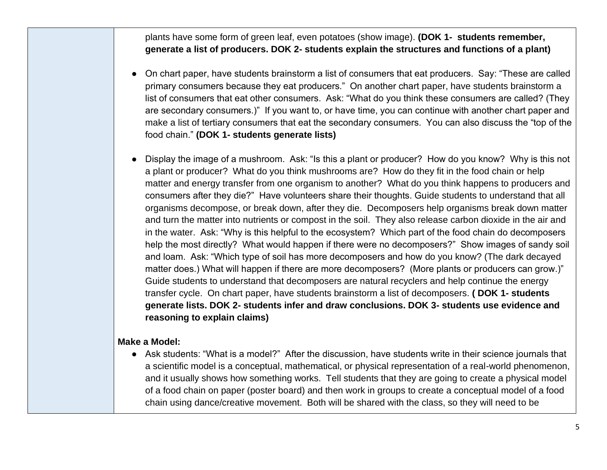plants have some form of green leaf, even potatoes (show image). **(DOK 1- students remember, generate a list of producers. DOK 2- students explain the structures and functions of a plant)**

- On chart paper, have students brainstorm a list of consumers that eat producers. Say: "These are called primary consumers because they eat producers." On another chart paper, have students brainstorm a list of consumers that eat other consumers. Ask: "What do you think these consumers are called? (They are secondary consumers.)" If you want to, or have time, you can continue with another chart paper and make a list of tertiary consumers that eat the secondary consumers. You can also discuss the "top of the food chain." **(DOK 1- students generate lists)**
- Display the image of a mushroom. Ask: "Is this a plant or producer? How do you know? Why is this not a plant or producer? What do you think mushrooms are? How do they fit in the food chain or help matter and energy transfer from one organism to another? What do you think happens to producers and consumers after they die?" Have volunteers share their thoughts. Guide students to understand that all organisms decompose, or break down, after they die. Decomposers help organisms break down matter and turn the matter into nutrients or compost in the soil. They also release carbon dioxide in the air and in the water. Ask: "Why is this helpful to the ecosystem? Which part of the food chain do decomposers help the most directly? What would happen if there were no decomposers?" Show images of sandy soil and loam. Ask: "Which type of soil has more decomposers and how do you know? (The dark decayed matter does.) What will happen if there are more decomposers? (More plants or producers can grow.)" Guide students to understand that decomposers are natural recyclers and help continue the energy transfer cycle. On chart paper, have students brainstorm a list of decomposers. **( DOK 1- students generate lists. DOK 2- students infer and draw conclusions. DOK 3- students use evidence and reasoning to explain claims)**

#### **Make a Model:**

● Ask students: "What is a model?" After the discussion, have students write in their science journals that a scientific model is a conceptual, mathematical, or physical representation of a real-world phenomenon, and it usually shows how something works. Tell students that they are going to create a physical model of a food chain on paper (poster board) and then work in groups to create a conceptual model of a food chain using dance/creative movement. Both will be shared with the class, so they will need to be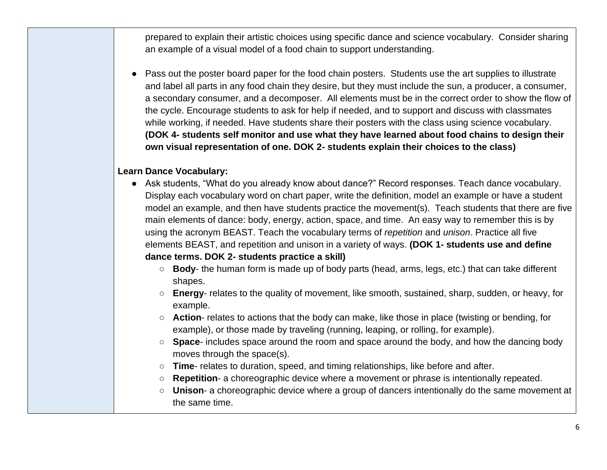prepared to explain their artistic choices using specific dance and science vocabulary. Consider sharing an example of a visual model of a food chain to support understanding.

● Pass out the poster board paper for the food chain posters. Students use the art supplies to illustrate and label all parts in any food chain they desire, but they must include the sun, a producer, a consumer, a secondary consumer, and a decomposer. All elements must be in the correct order to show the flow of the cycle. Encourage students to ask for help if needed, and to support and discuss with classmates while working, if needed. Have students share their posters with the class using science vocabulary. **(DOK 4- students self monitor and use what they have learned about food chains to design their own visual representation of one. DOK 2- students explain their choices to the class)**

## **Learn Dance Vocabulary:**

- Ask students, "What do you already know about dance?" Record responses. Teach dance vocabulary. Display each vocabulary word on chart paper, write the definition, model an example or have a student model an example, and then have students practice the movement(s). Teach students that there are five main elements of dance: body, energy, action, space, and time. An easy way to remember this is by using the acronym BEAST. Teach the vocabulary terms of *repetition* and *unison*. Practice all five elements BEAST, and repetition and unison in a variety of ways. **(DOK 1- students use and define dance terms. DOK 2- students practice a skill)**
	- **Body** the human form is made up of body parts (head, arms, legs, etc.) that can take different shapes.
	- **Energy** relates to the quality of movement, like smooth, sustained, sharp, sudden, or heavy, for example.
	- **Action** relates to actions that the body can make, like those in place (twisting or bending, for example), or those made by traveling (running, leaping, or rolling, for example).
	- **Space** includes space around the room and space around the body, and how the dancing body moves through the space(s).
	- **Time** relates to duration, speed, and timing relationships, like before and after.
	- **Repetition-** a choreographic device where a movement or phrase is intentionally repeated.
	- **Unison** a choreographic device where a group of dancers intentionally do the same movement at the same time.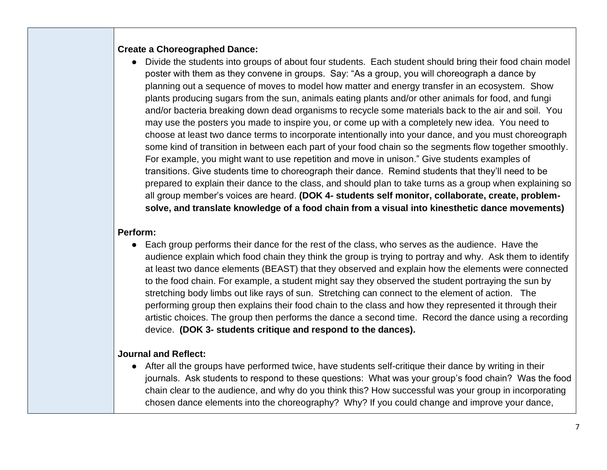## **Create a Choreographed Dance:**

• Divide the students into groups of about four students. Each student should bring their food chain model poster with them as they convene in groups. Say: "As a group, you will choreograph a dance by planning out a sequence of moves to model how matter and energy transfer in an ecosystem. Show plants producing sugars from the sun, animals eating plants and/or other animals for food, and fungi and/or bacteria breaking down dead organisms to recycle some materials back to the air and soil. You may use the posters you made to inspire you, or come up with a completely new idea. You need to choose at least two dance terms to incorporate intentionally into your dance, and you must choreograph some kind of transition in between each part of your food chain so the segments flow together smoothly. For example, you might want to use repetition and move in unison." Give students examples of transitions. Give students time to choreograph their dance. Remind students that they'll need to be prepared to explain their dance to the class, and should plan to take turns as a group when explaining so all group member's voices are heard. **(DOK 4- students self monitor, collaborate, create, problemsolve, and translate knowledge of a food chain from a visual into kinesthetic dance movements)**

## **Perform:**

• Each group performs their dance for the rest of the class, who serves as the audience. Have the audience explain which food chain they think the group is trying to portray and why. Ask them to identify at least two dance elements (BEAST) that they observed and explain how the elements were connected to the food chain. For example, a student might say they observed the student portraying the sun by stretching body limbs out like rays of sun. Stretching can connect to the element of action. The performing group then explains their food chain to the class and how they represented it through their artistic choices. The group then performs the dance a second time. Record the dance using a recording device. **(DOK 3- students critique and respond to the dances).**

## **Journal and Reflect:**

● After all the groups have performed twice, have students self-critique their dance by writing in their journals. Ask students to respond to these questions: What was your group's food chain? Was the food chain clear to the audience, and why do you think this? How successful was your group in incorporating chosen dance elements into the choreography? Why? If you could change and improve your dance,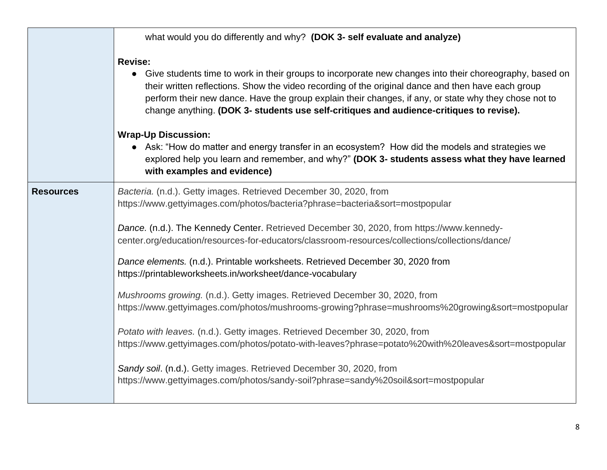|                |                  | what would you do differently and why? (DOK 3- self evaluate and analyze)                                                                                                                                                                                                                                                                                                                                           |  |
|----------------|------------------|---------------------------------------------------------------------------------------------------------------------------------------------------------------------------------------------------------------------------------------------------------------------------------------------------------------------------------------------------------------------------------------------------------------------|--|
| <b>Revise:</b> |                  | • Give students time to work in their groups to incorporate new changes into their choreography, based on<br>their written reflections. Show the video recording of the original dance and then have each group<br>perform their new dance. Have the group explain their changes, if any, or state why they chose not to<br>change anything. (DOK 3- students use self-critiques and audience-critiques to revise). |  |
|                |                  | <b>Wrap-Up Discussion:</b><br>• Ask: "How do matter and energy transfer in an ecosystem? How did the models and strategies we<br>explored help you learn and remember, and why?" (DOK 3- students assess what they have learned<br>with examples and evidence)                                                                                                                                                      |  |
|                | <b>Resources</b> | Bacteria. (n.d.). Getty images. Retrieved December 30, 2020, from<br>https://www.gettyimages.com/photos/bacteria?phrase=bacteria&sort=mostpopular                                                                                                                                                                                                                                                                   |  |
|                |                  | Dance. (n.d.). The Kennedy Center. Retrieved December 30, 2020, from https://www.kennedy-<br>center.org/education/resources-for-educators/classroom-resources/collections/collections/dance/                                                                                                                                                                                                                        |  |
|                |                  | Dance elements. (n.d.). Printable worksheets. Retrieved December 30, 2020 from<br>https://printableworksheets.in/worksheet/dance-vocabulary                                                                                                                                                                                                                                                                         |  |
|                |                  | Mushrooms growing. (n.d.). Getty images. Retrieved December 30, 2020, from<br>https://www.gettyimages.com/photos/mushrooms-growing?phrase=mushrooms%20growing&sort=mostpopular                                                                                                                                                                                                                                      |  |
|                |                  | Potato with leaves. (n.d.). Getty images. Retrieved December 30, 2020, from<br>https://www.gettyimages.com/photos/potato-with-leaves?phrase=potato%20with%20leaves&sort=mostpopular                                                                                                                                                                                                                                 |  |
|                |                  | Sandy soil. (n.d.). Getty images. Retrieved December 30, 2020, from<br>https://www.gettyimages.com/photos/sandy-soil?phrase=sandy%20soil&sort=mostpopular                                                                                                                                                                                                                                                           |  |
|                |                  |                                                                                                                                                                                                                                                                                                                                                                                                                     |  |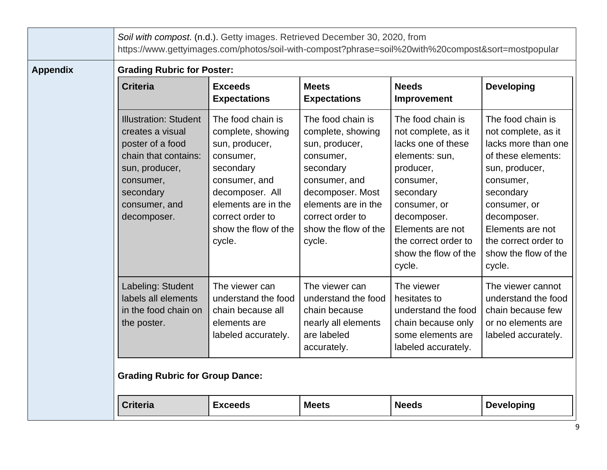|                 | Soil with compost. (n.d.). Getty images. Retrieved December 30, 2020, from<br>https://www.gettyimages.com/photos/soil-with-compost?phrase=soil%20with%20compost&sort=mostpopular |                                                                                                                                                                                                     |                                                                                                                                                                                                      |                                                                                                                                                                                                                                      |                                                                                                                                                                                                                                                |
|-----------------|----------------------------------------------------------------------------------------------------------------------------------------------------------------------------------|-----------------------------------------------------------------------------------------------------------------------------------------------------------------------------------------------------|------------------------------------------------------------------------------------------------------------------------------------------------------------------------------------------------------|--------------------------------------------------------------------------------------------------------------------------------------------------------------------------------------------------------------------------------------|------------------------------------------------------------------------------------------------------------------------------------------------------------------------------------------------------------------------------------------------|
| <b>Appendix</b> | <b>Grading Rubric for Poster:</b>                                                                                                                                                |                                                                                                                                                                                                     |                                                                                                                                                                                                      |                                                                                                                                                                                                                                      |                                                                                                                                                                                                                                                |
|                 | <b>Criteria</b>                                                                                                                                                                  | <b>Exceeds</b><br><b>Expectations</b>                                                                                                                                                               | <b>Meets</b><br><b>Expectations</b>                                                                                                                                                                  | <b>Needs</b><br>Improvement                                                                                                                                                                                                          | <b>Developing</b>                                                                                                                                                                                                                              |
|                 | <b>Illustration: Student</b><br>creates a visual<br>poster of a food<br>chain that contains:<br>sun, producer,<br>consumer,<br>secondary<br>consumer, and<br>decomposer.         | The food chain is<br>complete, showing<br>sun, producer,<br>consumer,<br>secondary<br>consumer, and<br>decomposer. All<br>elements are in the<br>correct order to<br>show the flow of the<br>cycle. | The food chain is<br>complete, showing<br>sun, producer,<br>consumer,<br>secondary<br>consumer, and<br>decomposer. Most<br>elements are in the<br>correct order to<br>show the flow of the<br>cycle. | The food chain is<br>not complete, as it<br>lacks one of these<br>elements: sun,<br>producer,<br>consumer,<br>secondary<br>consumer, or<br>decomposer.<br>Elements are not<br>the correct order to<br>show the flow of the<br>cycle. | The food chain is<br>not complete, as it<br>lacks more than one<br>of these elements:<br>sun, producer,<br>consumer,<br>secondary<br>consumer, or<br>decomposer.<br>Elements are not<br>the correct order to<br>show the flow of the<br>cycle. |
|                 | Labeling: Student<br>labels all elements<br>in the food chain on<br>the poster.<br><b>Grading Rubric for Group Dance:</b>                                                        | The viewer can<br>understand the food<br>chain because all<br>elements are<br>labeled accurately.                                                                                                   | The viewer can<br>understand the food<br>chain because<br>nearly all elements<br>are labeled<br>accurately.                                                                                          | The viewer<br>hesitates to<br>understand the food<br>chain because only<br>some elements are<br>labeled accurately.                                                                                                                  | The viewer cannot<br>understand the food<br>chain because few<br>or no elements are<br>labeled accurately.                                                                                                                                     |
|                 |                                                                                                                                                                                  |                                                                                                                                                                                                     |                                                                                                                                                                                                      |                                                                                                                                                                                                                                      |                                                                                                                                                                                                                                                |
|                 | <b>Criteria</b>                                                                                                                                                                  | <b>Exceeds</b>                                                                                                                                                                                      | <b>Meets</b>                                                                                                                                                                                         | <b>Needs</b>                                                                                                                                                                                                                         | <b>Developing</b>                                                                                                                                                                                                                              |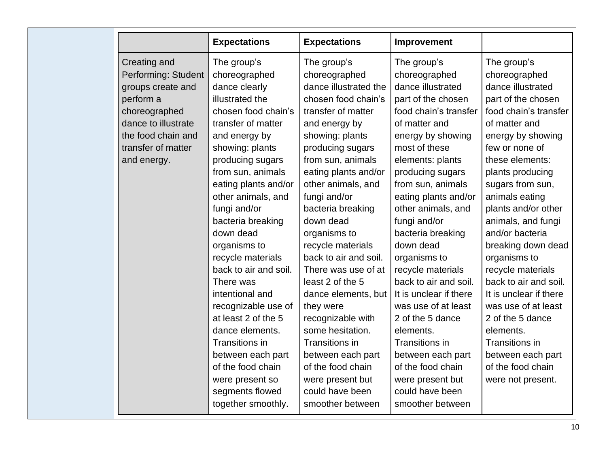|                     | <b>Expectations</b>   | <b>Expectations</b>   | Improvement            |                        |
|---------------------|-----------------------|-----------------------|------------------------|------------------------|
| Creating and        | The group's           | The group's           | The group's            | The group's            |
| Performing: Student | choreographed         | choreographed         | choreographed          | choreographed          |
| groups create and   | dance clearly         | dance illustrated the | dance illustrated      | dance illustrated      |
| perform a           | illustrated the       | chosen food chain's   | part of the chosen     | part of the chosen     |
| choreographed       | chosen food chain's   | transfer of matter    | food chain's transfer  | food chain's transfer  |
| dance to illustrate | transfer of matter    | and energy by         | of matter and          | of matter and          |
| the food chain and  | and energy by         | showing: plants       | energy by showing      | energy by showing      |
| transfer of matter  | showing: plants       | producing sugars      | most of these          | few or none of         |
| and energy.         | producing sugars      | from sun, animals     | elements: plants       | these elements:        |
|                     | from sun, animals     | eating plants and/or  | producing sugars       | plants producing       |
|                     | eating plants and/or  | other animals, and    | from sun, animals      | sugars from sun,       |
|                     | other animals, and    | fungi and/or          | eating plants and/or   | animals eating         |
|                     | fungi and/or          | bacteria breaking     | other animals, and     | plants and/or other    |
|                     | bacteria breaking     | down dead             | fungi and/or           | animals, and fungi     |
|                     | down dead             | organisms to          | bacteria breaking      | and/or bacteria        |
|                     | organisms to          | recycle materials     | down dead              | breaking down dead     |
|                     | recycle materials     | back to air and soil. | organisms to           | organisms to           |
|                     | back to air and soil. | There was use of at   | recycle materials      | recycle materials      |
|                     | There was             | least 2 of the 5      | back to air and soil.  | back to air and soil.  |
|                     | intentional and       | dance elements, but   | It is unclear if there | It is unclear if there |
|                     | recognizable use of   | they were             | was use of at least    | was use of at least    |
|                     | at least 2 of the 5   | recognizable with     | 2 of the 5 dance       | 2 of the 5 dance       |
|                     | dance elements.       | some hesitation.      | elements.              | elements.              |
|                     | Transitions in        | Transitions in        | Transitions in         | <b>Transitions in</b>  |
|                     | between each part     | between each part     | between each part      | between each part      |
|                     | of the food chain     | of the food chain     | of the food chain      | of the food chain      |
|                     | were present so       | were present but      | were present but       | were not present.      |
|                     | segments flowed       | could have been       | could have been        |                        |
|                     | together smoothly.    | smoother between      | smoother between       |                        |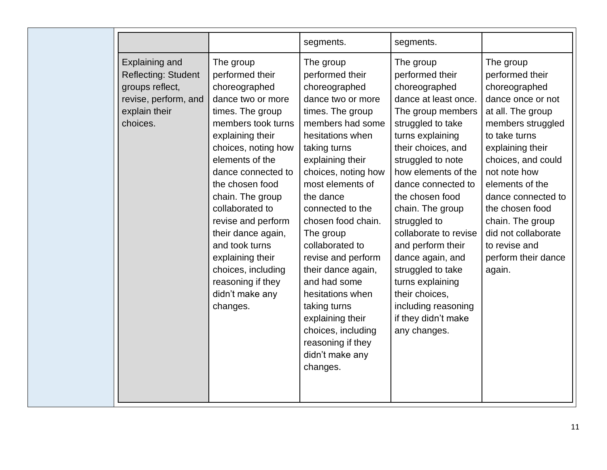|                                                                                                                      |                                                                                                                                                                                                                                                                                                                                                                                                                        | segments.                                                                                                                                                                                                                                                                                                                                                                                                                                                                                          | segments.                                                                                                                                                                                                                                                                                                                                                                                                                                                                     |                                                                                                                                                                                                                                                                                                                                                  |
|----------------------------------------------------------------------------------------------------------------------|------------------------------------------------------------------------------------------------------------------------------------------------------------------------------------------------------------------------------------------------------------------------------------------------------------------------------------------------------------------------------------------------------------------------|----------------------------------------------------------------------------------------------------------------------------------------------------------------------------------------------------------------------------------------------------------------------------------------------------------------------------------------------------------------------------------------------------------------------------------------------------------------------------------------------------|-------------------------------------------------------------------------------------------------------------------------------------------------------------------------------------------------------------------------------------------------------------------------------------------------------------------------------------------------------------------------------------------------------------------------------------------------------------------------------|--------------------------------------------------------------------------------------------------------------------------------------------------------------------------------------------------------------------------------------------------------------------------------------------------------------------------------------------------|
| Explaining and<br><b>Reflecting: Student</b><br>groups reflect,<br>revise, perform, and<br>explain their<br>choices. | The group<br>performed their<br>choreographed<br>dance two or more<br>times. The group<br>members took turns<br>explaining their<br>choices, noting how<br>elements of the<br>dance connected to<br>the chosen food<br>chain. The group<br>collaborated to<br>revise and perform<br>their dance again,<br>and took turns<br>explaining their<br>choices, including<br>reasoning if they<br>didn't make any<br>changes. | The group<br>performed their<br>choreographed<br>dance two or more<br>times. The group<br>members had some<br>hesitations when<br>taking turns<br>explaining their<br>choices, noting how<br>most elements of<br>the dance<br>connected to the<br>chosen food chain.<br>The group<br>collaborated to<br>revise and perform<br>their dance again,<br>and had some<br>hesitations when<br>taking turns<br>explaining their<br>choices, including<br>reasoning if they<br>didn't make any<br>changes. | The group<br>performed their<br>choreographed<br>dance at least once.<br>The group members<br>struggled to take<br>turns explaining<br>their choices, and<br>struggled to note<br>how elements of the<br>dance connected to<br>the chosen food<br>chain. The group<br>struggled to<br>collaborate to revise<br>and perform their<br>dance again, and<br>struggled to take<br>turns explaining<br>their choices,<br>including reasoning<br>if they didn't make<br>any changes. | The group<br>performed their<br>choreographed<br>dance once or not<br>at all. The group<br>members struggled<br>to take turns<br>explaining their<br>choices, and could<br>not note how<br>elements of the<br>dance connected to<br>the chosen food<br>chain. The group<br>did not collaborate<br>to revise and<br>perform their dance<br>again. |